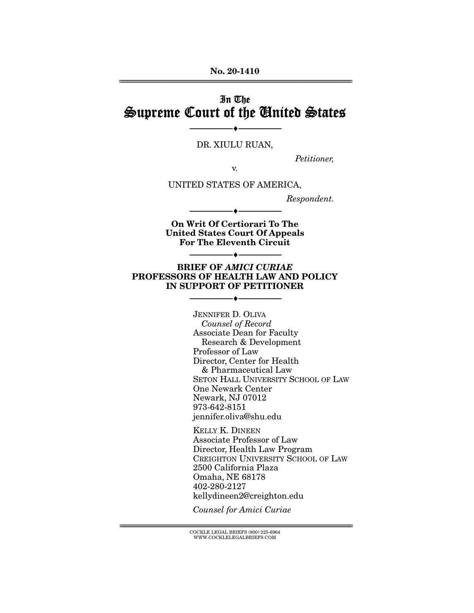# In The Supreme Court of the United States

DR. XIULU RUAN,

--------------------------------- ♦ ---------------------------------

Petitioner,

v.

UNITED STATES OF AMERICA,

Respondent.

**On Writ Of Certiorari To The United States Court Of Appeals For The Eleventh Circuit** 

--------------------------------- ♦ ---------------------------------

--------------------------------- ♦ ---------------------------------

#### **BRIEF OF** *AMICI CURIAE*  **PROFESSORS OF HEALTH LAW AND POLICY IN SUPPORT OF PETITIONER**

--------------------------------- ♦ ---------------------------------

JENNIFER D. OLIVA Counsel of Record Associate Dean for Faculty Research & Development Professor of Law Director, Center for Health & Pharmaceutical Law SETON HALL UNIVERSITY SCHOOL OF LAW One Newark Center Newark, NJ 07012 973-642-8151 jennifer.oliva@shu.edu

KELLY K. DINEEN Associate Professor of Law Director, Health Law Program CREIGHTON UNIVERSITY SCHOOL OF LAW 2500 California Plaza Omaha, NE 68178 402-280-2127 kellydineen2@creighton.edu

Counsel for Amici Curiae

 ${ \rm COCKLE}$  LEGAL BRIEFS (800) 225-6964 WWW.COCKLELEGALBRIEFS.COM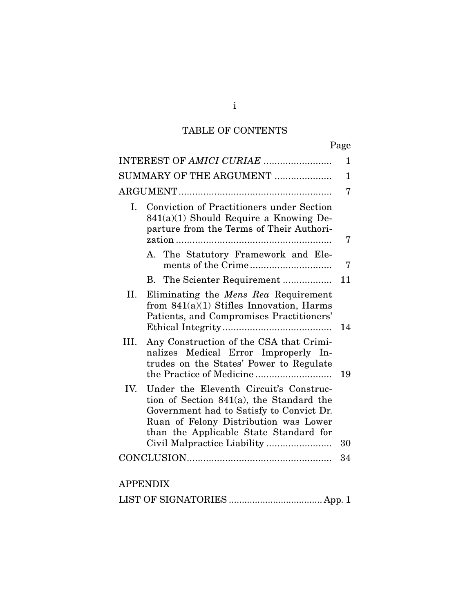# TABLE OF CONTENTS

|--|

|      |                                                                                                                                                                                                                   | 1           |
|------|-------------------------------------------------------------------------------------------------------------------------------------------------------------------------------------------------------------------|-------------|
|      | SUMMARY OF THE ARGUMENT                                                                                                                                                                                           | $\mathbf 1$ |
|      |                                                                                                                                                                                                                   | 7           |
| I.   | <b>Conviction of Practitioners under Section</b><br>$841(a)(1)$ Should Require a Knowing De-<br>parture from the Terms of Their Authori-                                                                          | 7           |
|      | A. The Statutory Framework and Ele-                                                                                                                                                                               | 7           |
|      | B. The Scienter Requirement                                                                                                                                                                                       | 11          |
| II.  | Eliminating the <i>Mens Rea</i> Requirement<br>from $841(a)(1)$ Stifles Innovation, Harms<br>Patients, and Compromises Practitioners'                                                                             | 14          |
| III. | Any Construction of the CSA that Crimi-<br>nalizes Medical Error Improperly In-<br>trudes on the States' Power to Regulate                                                                                        | 19          |
| IV.  | Under the Eleventh Circuit's Construc-<br>tion of Section 841(a), the Standard the<br>Government had to Satisfy to Convict Dr.<br>Ruan of Felony Distribution was Lower<br>than the Applicable State Standard for | 30          |
|      |                                                                                                                                                                                                                   | 34          |
|      |                                                                                                                                                                                                                   |             |
|      | <b>APPENDIX</b>                                                                                                                                                                                                   |             |
|      | $\alpha$ T $\alpha$ <sub>1</sub> T <sub>1</sub> $\alpha$ <sub>1</sub>                                                                                                                                             |             |

i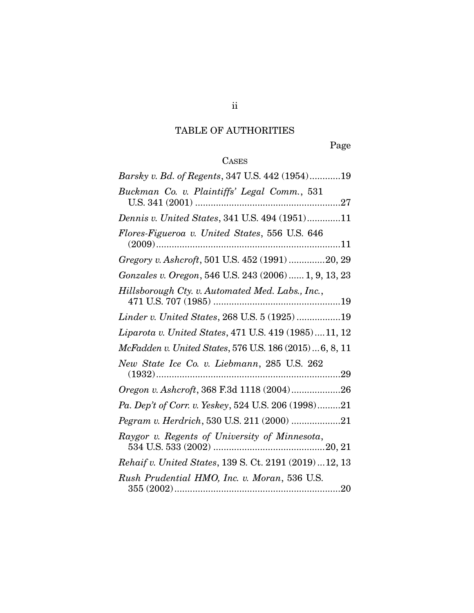# TABLE OF AUTHORITIES

Page

# CASES

| Barsky v. Bd. of Regents, 347 U.S. 442 (1954)19         |
|---------------------------------------------------------|
| Buckman Co. v. Plaintiffs' Legal Comm., 531             |
| Dennis v. United States, 341 U.S. 494 (1951)11          |
| Flores-Figueroa v. United States, 556 U.S. 646          |
| Gregory v. Ashcroft, 501 U.S. 452 (1991) 20, 29         |
| Gonzales v. Oregon, 546 U.S. 243 (2006)  1, 9, 13, 23   |
| Hillsborough Cty. v. Automated Med. Labs., Inc.,        |
| Linder v. United States, 268 U.S. 5 (1925) 19           |
| Liparota v. United States, 471 U.S. 419 (1985)11, 12    |
| McFadden v. United States, 576 U.S. 186 (2015) 6, 8, 11 |
| New State Ice Co. v. Liebmann, 285 U.S. 262             |
| Oregon v. Ashcroft, 368 F.3d 1118 (2004)26              |
| Pa. Dep't of Corr. v. Yeskey, 524 U.S. 206 (1998)21     |
| Pegram v. Herdrich, 530 U.S. 211 (2000) 21              |
| Raygor v. Regents of University of Minnesota,           |
| Rehaif v. United States, 139 S. Ct. 2191 (2019)  12, 13 |
| Rush Prudential HMO, Inc. v. Moran, 536 U.S.            |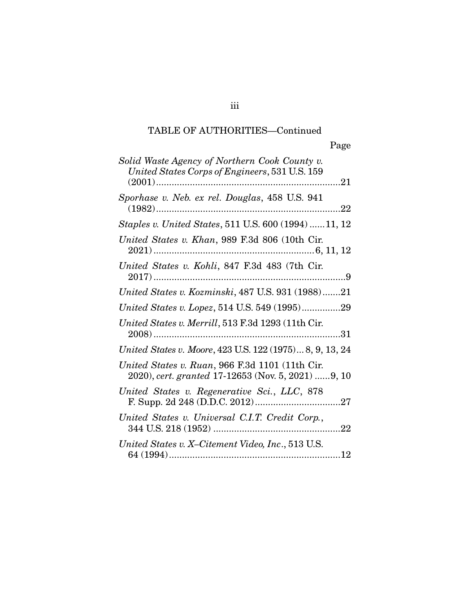| Solid Waste Agency of Northern Cook County v.<br>United States Corps of Engineers, 531 U.S. 159       |
|-------------------------------------------------------------------------------------------------------|
| Sporhase v. Neb. ex rel. Douglas, 458 U.S. 941                                                        |
| <i>Staples v. United States, 511 U.S. 600 (1994) 11, 12</i>                                           |
| United States v. Khan, 989 F.3d 806 (10th Cir.                                                        |
| United States v. Kohli, 847 F.3d 483 (7th Cir.                                                        |
| United States v. Kozminski, 487 U.S. 931 (1988)21                                                     |
| United States v. Lopez, 514 U.S. 549 (1995)29                                                         |
| United States v. Merrill, 513 F.3d 1293 (11th Cir.                                                    |
| United States v. Moore, 423 U.S. 122 (1975) 8, 9, 13, 24                                              |
| United States v. Ruan, 966 F.3d 1101 (11th Cir.<br>2020), cert. granted 17-12653 (Nov. 5, 2021) 9, 10 |
| United States v. Regenerative Sci., LLC, 878                                                          |
| United States v. Universal C.I.T. Credit Corp.,                                                       |
| United States v. X-Citement Video, Inc., 513 U.S.<br>12                                               |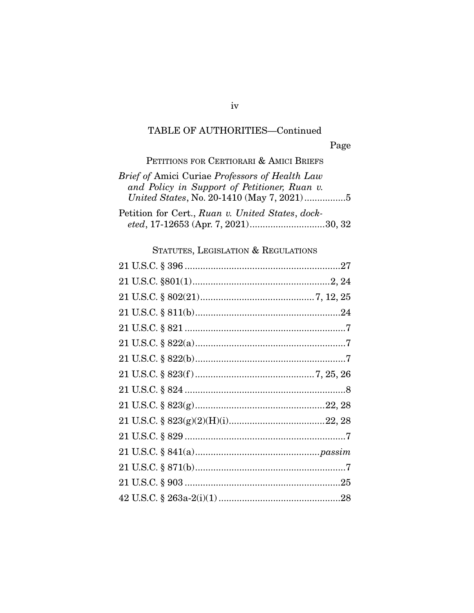Page

PETITIONS FOR CERTIORARI & AMICI BRIEFS

| Brief of Amici Curiae Professors of Health Law   |
|--------------------------------------------------|
| and Policy in Support of Petitioner, Ruan v.     |
| United States, No. 20-1410 (May 7, 2021)5        |
| Petition for Cert., Ruan v. United States, dock- |
| eted, 17-12653 (Apr. 7, 2021)30, 32              |

## STATUTES, LEGISLATION & REGULATIONS

iv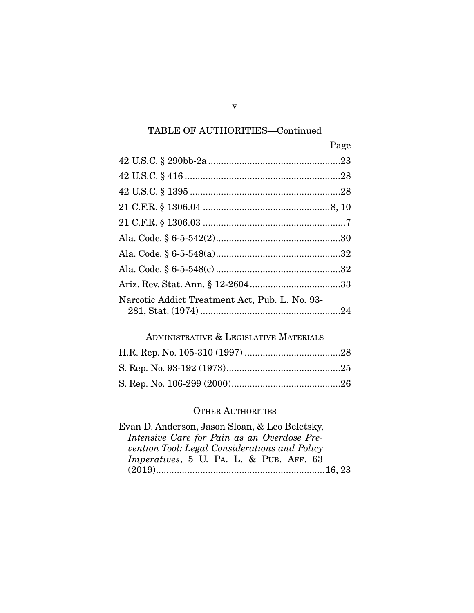|                                                | Page |
|------------------------------------------------|------|
|                                                |      |
|                                                |      |
|                                                |      |
|                                                |      |
|                                                |      |
|                                                |      |
|                                                |      |
|                                                |      |
|                                                |      |
| Narcotic Addict Treatment Act, Pub. L. No. 93- |      |

## ADMINISTRATIVE & LEGISLATIVE MATERIALS

#### OTHER AUTHORITIES

v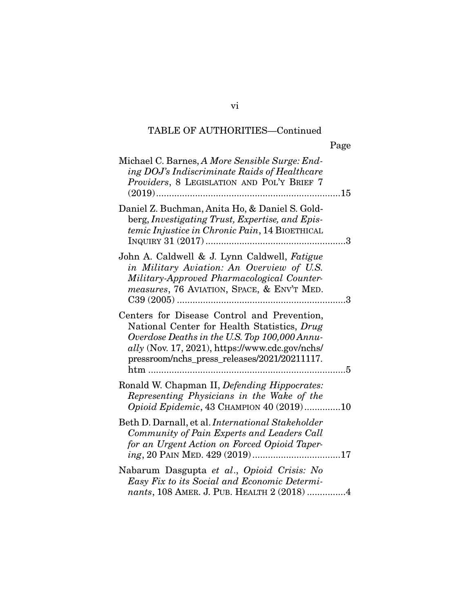|                                                                                                                                                                                                                                                           | Page |
|-----------------------------------------------------------------------------------------------------------------------------------------------------------------------------------------------------------------------------------------------------------|------|
| Michael C. Barnes, A More Sensible Surge: End-<br>ing DOJ's Indiscriminate Raids of Healthcare<br>Providers, 8 LEGISLATION AND POL'Y BRIEF 7                                                                                                              |      |
| Daniel Z. Buchman, Anita Ho, & Daniel S. Gold-<br>berg, Investigating Trust, Expertise, and Epis-<br>temic Injustice in Chronic Pain, 14 BIOETHICAL                                                                                                       | 3    |
| John A. Caldwell & J. Lynn Caldwell, Fatigue<br>in Military Aviation: An Overview of U.S.<br>Military-Approved Pharmacological Counter-<br>measures, 76 AVIATION, SPACE, & ENV'T MED.                                                                     |      |
| Centers for Disease Control and Prevention,<br>National Center for Health Statistics, Drug<br>Overdose Deaths in the U.S. Top 100,000 Annu-<br>$\textit{ally}$ (Nov. 17, 2021), https://www.cdc.gov/nchs/<br>pressroom/nchs_press_releases/2021/20211117. |      |
| Ronald W. Chapman II, Defending Hippocrates:<br>Representing Physicians in the Wake of the<br>Opioid Epidemic, 43 CHAMPION 40 (2019)10                                                                                                                    |      |
| Beth D. Darnall, et al. <i>International Stakeholder</i><br>Community of Pain Experts and Leaders Call<br>for an Urgent Action on Forced Opioid Taper-                                                                                                    |      |
| Nabarum Dasgupta et al., Opioid Crisis: No<br>Easy Fix to its Social and Economic Determi-<br>nants, 108 AMER. J. PUB. HEALTH 2 (2018) 4                                                                                                                  |      |

vi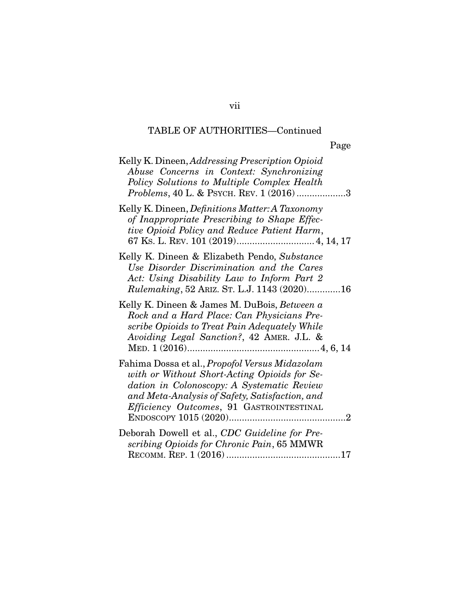| Kelly K. Dineen, Addressing Prescription Opioid<br>Abuse Concerns in Context: Synchronizing<br>Policy Solutions to Multiple Complex Health<br><i>Problems</i> , 40 L. & PSYCH. REV. 1 (2016)3                                                     |
|---------------------------------------------------------------------------------------------------------------------------------------------------------------------------------------------------------------------------------------------------|
| Kelly K. Dineen, <i>Definitions Matter: A Taxonomy</i><br>of Inappropriate Prescribing to Shape Effec-<br>tive Opioid Policy and Reduce Patient Harm,                                                                                             |
| Kelly K. Dineen & Elizabeth Pendo, Substance<br>Use Disorder Discrimination and the Cares<br>Act: Using Disability Law to Inform Part 2<br><i>Rulemaking</i> , 52 ARIZ. ST. L.J. 1143 (2020)16                                                    |
| Kelly K. Dineen & James M. DuBois, Between a<br>Rock and a Hard Place: Can Physicians Pre-<br>scribe Opioids to Treat Pain Adequately While<br>Avoiding Legal Sanction?, 42 AMER. J.L. &                                                          |
| Fahima Dossa et al., Propofol Versus Midazolam<br>with or Without Short-Acting Opioids for Se-<br>dation in Colonoscopy: A Systematic Review<br>and Meta-Analysis of Safety, Satisfaction, and<br>Efficiency Outcomes, 91 GASTROINTESTINAL<br>. 2 |
| Deborah Dowell et al., CDC Guideline for Pre-<br>scribing Opioids for Chronic Pain, 65 MMWR                                                                                                                                                       |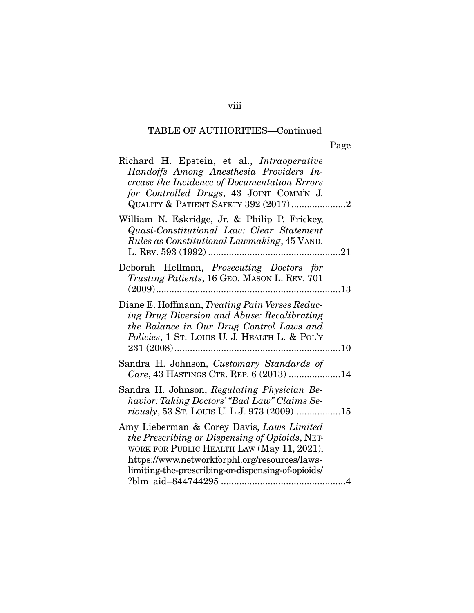| Richard H. Epstein, et al., Intraoperative<br>Handoffs Among Anesthesia Providers In-<br>crease the Incidence of Documentation Errors<br>for Controlled Drugs, 43 JOINT COMM'N J.<br>QUALITY & PATIENT SAFETY 392 (2017)2                        |
|--------------------------------------------------------------------------------------------------------------------------------------------------------------------------------------------------------------------------------------------------|
| William N. Eskridge, Jr. & Philip P. Frickey,<br>Quasi-Constitutional Law: Clear Statement<br>Rules as Constitutional Lawmaking, 45 VAND.                                                                                                        |
| Deborah Hellman, Prosecuting Doctors for<br>Trusting Patients, 16 GEO. MASON L. REV. 701<br>13                                                                                                                                                   |
| Diane E. Hoffmann, Treating Pain Verses Reduc-<br>ing Drug Diversion and Abuse: Recalibrating<br>the Balance in Our Drug Control Laws and<br>Policies, 1 St. LOUIS U. J. HEALTH L. & POL'Y                                                       |
| Sandra H. Johnson, Customary Standards of<br>Care, 43 HASTINGS CTR. REP. 6 (2013) 14                                                                                                                                                             |
| Sandra H. Johnson, Regulating Physician Be-<br>havior: Taking Doctors' "Bad Law" Claims Se-<br>riously, 53 ST. LOUIS U. L.J. 973 (2009)15                                                                                                        |
| Amy Lieberman & Corey Davis, Laws Limited<br>the Prescribing or Dispensing of Opioids, NET-<br>WORK FOR PUBLIC HEALTH LAW (May 11, 2021),<br>https://www.networkforphl.org/resources/laws-<br>limiting-the-prescribing-or-dispensing-of-opioids/ |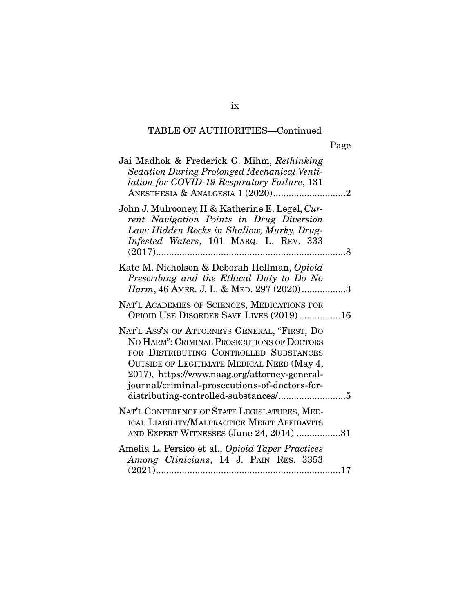|                                                                                                                                                                                                                                                                                      | Page |
|--------------------------------------------------------------------------------------------------------------------------------------------------------------------------------------------------------------------------------------------------------------------------------------|------|
| Jai Madhok & Frederick G. Mihm, Rethinking<br>Sedation During Prolonged Mechanical Venti-<br>lation for COVID-19 Respiratory Failure, 131                                                                                                                                            |      |
| John J. Mulrooney, II & Katherine E. Legel, Cur-<br>rent Navigation Points in Drug Diversion<br>Law: Hidden Rocks in Shallow, Murky, Drug-<br>Infested Waters, 101 MARQ. L. REV. 333                                                                                                 |      |
| Kate M. Nicholson & Deborah Hellman, Opioid<br>Prescribing and the Ethical Duty to Do No<br>Harm, 46 AMER. J. L. & MED. 297 (2020)3                                                                                                                                                  |      |
| NAT'L ACADEMIES OF SCIENCES, MEDICATIONS FOR<br>OPIOID USE DISORDER SAVE LIVES (2019)16                                                                                                                                                                                              |      |
| NAT'L ASS'N OF ATTORNEYS GENERAL, "FIRST, DO<br>NO HARM": CRIMINAL PROSECUTIONS OF DOCTORS<br>FOR DISTRIBUTING CONTROLLED SUBSTANCES<br>OUTSIDE OF LEGITIMATE MEDICAL NEED (May 4,<br>2017), https://www.naag.org/attorney-general-<br>journal/criminal-prosecutions-of-doctors-for- |      |
| NAT'L CONFERENCE OF STATE LEGISLATURES, MED-<br>ICAL LIABILITY/MALPRACTICE MERIT AFFIDAVITS<br>AND EXPERT WITNESSES (June 24, 2014) 31                                                                                                                                               |      |
| Amelia L. Persico et al., Opioid Taper Practices<br>Among Clinicians, 14 J. PAIN RES. 3353                                                                                                                                                                                           |      |

ix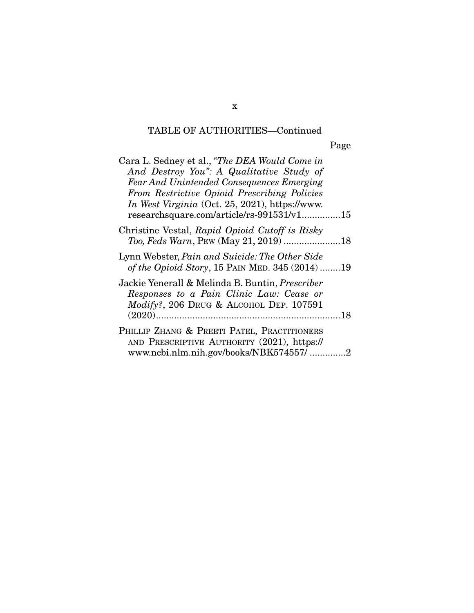Page

| Cara L. Sedney et al., "The DEA Would Come in    |  |
|--------------------------------------------------|--|
| And Destroy You": A Qualitative Study of         |  |
| <b>Fear And Unintended Consequences Emerging</b> |  |
| From Restrictive Opioid Prescribing Policies     |  |
| In West Virginia (Oct. 25, 2021), https://www.   |  |
| researchsquare.com/article/rs-991531/v115        |  |
| Christine Vestal, Rapid Opioid Cutoff is Risky   |  |
|                                                  |  |
| Lynn Webster, Pain and Suicide: The Other Side   |  |
| of the Opioid Story, 15 PAIN MED. 345 (2014)19   |  |
| Jackie Yenerall & Melinda B. Buntin, Prescriber  |  |
| Responses to a Pain Clinic Law: Cease or         |  |
| Modify?, 206 DRUG & ALCOHOL DEP. 107591          |  |
|                                                  |  |
| PHILLIP ZHANG & PREETI PATEL, PRACTITIONERS      |  |
| AND PRESCRIPTIVE AUTHORITY (2021), https://      |  |
| www.ncbi.nlm.nih.gov/books/NBK574557/2           |  |

x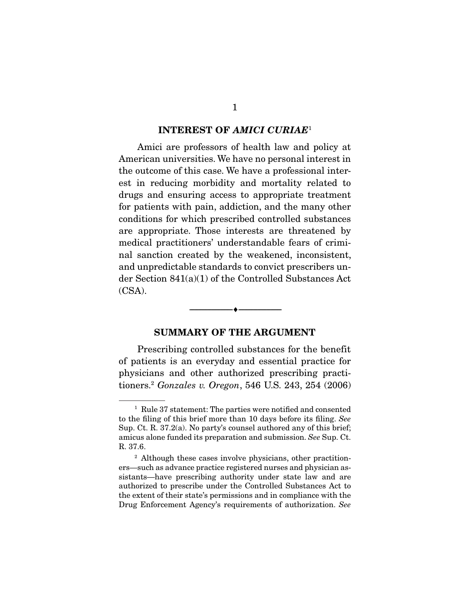#### **INTEREST OF** *AMICI CURIAE*<sup>1</sup>

 Amici are professors of health law and policy at American universities. We have no personal interest in the outcome of this case. We have a professional interest in reducing morbidity and mortality related to drugs and ensuring access to appropriate treatment for patients with pain, addiction, and the many other conditions for which prescribed controlled substances are appropriate. Those interests are threatened by medical practitioners' understandable fears of criminal sanction created by the weakened, inconsistent, and unpredictable standards to convict prescribers under Section 841(a)(1) of the Controlled Substances Act (CSA).

### **SUMMARY OF THE ARGUMENT**

--------------------------------- ♦ ---------------------------------

 Prescribing controlled substances for the benefit of patients is an everyday and essential practice for physicians and other authorized prescribing practitioners.2 *Gonzales v. Oregon*, 546 U.S. 243, 254 (2006)

<sup>&</sup>lt;sup>1</sup> Rule 37 statement: The parties were notified and consented to the filing of this brief more than 10 days before its filing. *See* Sup. Ct. R. 37.2(a). No party's counsel authored any of this brief; amicus alone funded its preparation and submission. *See* Sup. Ct. R. 37.6.

<sup>&</sup>lt;sup>2</sup> Although these cases involve physicians, other practitioners—such as advance practice registered nurses and physician assistants—have prescribing authority under state law and are authorized to prescribe under the Controlled Substances Act to the extent of their state's permissions and in compliance with the Drug Enforcement Agency's requirements of authorization. *See*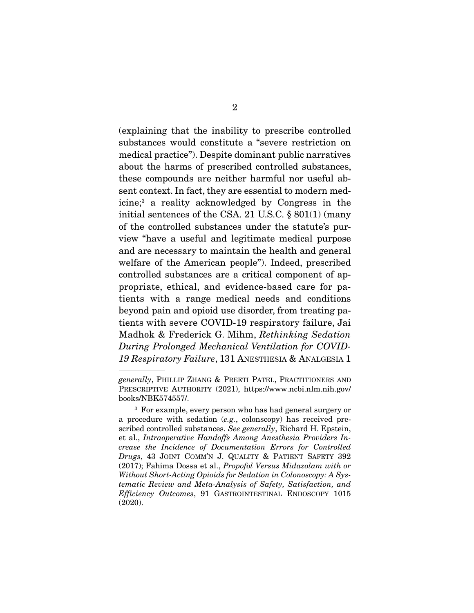(explaining that the inability to prescribe controlled substances would constitute a "severe restriction on medical practice"). Despite dominant public narratives about the harms of prescribed controlled substances, these compounds are neither harmful nor useful absent context. In fact, they are essential to modern medicine;<sup>3</sup> a reality acknowledged by Congress in the initial sentences of the CSA. 21 U.S.C. § 801(1) (many of the controlled substances under the statute's purview "have a useful and legitimate medical purpose and are necessary to maintain the health and general welfare of the American people"). Indeed, prescribed controlled substances are a critical component of appropriate, ethical, and evidence-based care for patients with a range medical needs and conditions beyond pain and opioid use disorder, from treating patients with severe COVID-19 respiratory failure, Jai Madhok & Frederick G. Mihm, *Rethinking Sedation During Prolonged Mechanical Ventilation for COVID-19 Respiratory Failure*, 131 ANESTHESIA & ANALGESIA 1

*generally*, PHILLIP ZHANG & PREETI PATEL, PRACTITIONERS AND PRESCRIPTIVE AUTHORITY (2021), https://www.ncbi.nlm.nih.gov/ books/NBK574557/.

<sup>3</sup> For example, every person who has had general surgery or a procedure with sedation (*e.g.*, colonscopy) has received prescribed controlled substances. *See generally*, Richard H. Epstein, et al., *Intraoperative Handoffs Among Anesthesia Providers Increase the Incidence of Documentation Errors for Controlled Drugs*, 43 JOINT COMM'N J. QUALITY & PATIENT SAFETY 392 (2017); Fahima Dossa et al., *Propofol Versus Midazolam with or Without Short-Acting Opioids for Sedation in Colonoscopy: A Systematic Review and Meta-Analysis of Safety, Satisfaction, and Efficiency Outcomes*, 91 GASTROINTESTINAL ENDOSCOPY 1015 (2020).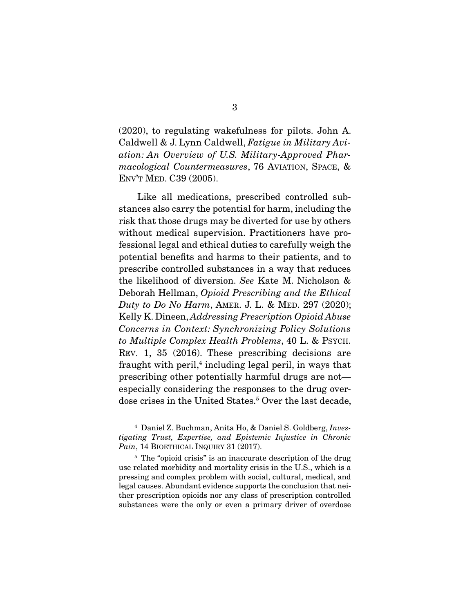(2020), to regulating wakefulness for pilots. John A. Caldwell & J. Lynn Caldwell, *Fatigue in Military Aviation: An Overview of U.S. Military-Approved Pharmacological Countermeasures*, 76 AVIATION, SPACE, & ENV'T MED. C39 (2005).

 Like all medications, prescribed controlled substances also carry the potential for harm, including the risk that those drugs may be diverted for use by others without medical supervision. Practitioners have professional legal and ethical duties to carefully weigh the potential benefits and harms to their patients, and to prescribe controlled substances in a way that reduces the likelihood of diversion. *See* Kate M. Nicholson & Deborah Hellman, *Opioid Prescribing and the Ethical Duty to Do No Harm*, AMER. J. L. & MED. 297 (2020); Kelly K. Dineen, *Addressing Prescription Opioid Abuse Concerns in Context: Synchronizing Policy Solutions to Multiple Complex Health Problems*, 40 L. & PSYCH. REV. 1, 35 (2016). These prescribing decisions are fraught with peril,<sup>4</sup> including legal peril, in ways that prescribing other potentially harmful drugs are not especially considering the responses to the drug overdose crises in the United States.<sup>5</sup> Over the last decade,

<sup>4</sup> Daniel Z. Buchman, Anita Ho, & Daniel S. Goldberg, *Investigating Trust, Expertise, and Epistemic Injustice in Chronic*  Pain, 14 BIOETHICAL INQUIRY 31 (2017).

<sup>&</sup>lt;sup>5</sup> The "opioid crisis" is an inaccurate description of the drug use related morbidity and mortality crisis in the U.S., which is a pressing and complex problem with social, cultural, medical, and legal causes. Abundant evidence supports the conclusion that neither prescription opioids nor any class of prescription controlled substances were the only or even a primary driver of overdose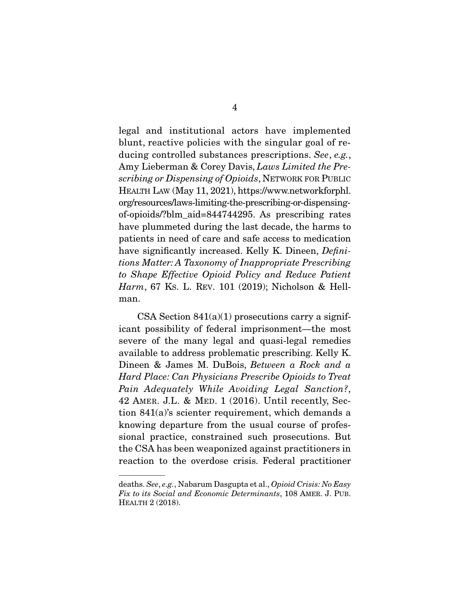legal and institutional actors have implemented blunt, reactive policies with the singular goal of reducing controlled substances prescriptions. *See*, *e.g.*, Amy Lieberman & Corey Davis, *Laws Limited the Prescribing or Dispensing of Opioids*, NETWORK FOR PUBLIC HEALTH LAW (May 11, 2021), https://www.networkforphl. org/resources/laws-limiting-the-prescribing-or-dispensingof-opioids/?blm\_aid=844744295. As prescribing rates have plummeted during the last decade, the harms to patients in need of care and safe access to medication have significantly increased. Kelly K. Dineen, *Definitions Matter: A Taxonomy of Inappropriate Prescribing to Shape Effective Opioid Policy and Reduce Patient Harm*, 67 KS. L. REV. 101 (2019); Nicholson & Hellman.

CSA Section  $841(a)(1)$  prosecutions carry a significant possibility of federal imprisonment—the most severe of the many legal and quasi-legal remedies available to address problematic prescribing. Kelly K. Dineen & James M. DuBois, *Between a Rock and a Hard Place: Can Physicians Prescribe Opioids to Treat Pain Adequately While Avoiding Legal Sanction?*, 42 AMER. J.L. & MED. 1 (2016). Until recently, Section 841(a)'s scienter requirement, which demands a knowing departure from the usual course of professional practice, constrained such prosecutions. But the CSA has been weaponized against practitioners in reaction to the overdose crisis. Federal practitioner

deaths. *See*, *e.g.*, Nabarum Dasgupta et al., *Opioid Crisis: No Easy Fix to its Social and Economic Determinants*, 108 AMER. J. PUB. HEALTH 2 (2018).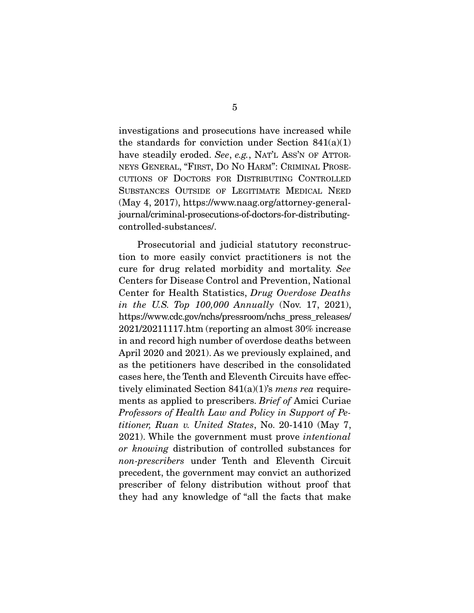investigations and prosecutions have increased while the standards for conviction under Section  $841(a)(1)$ have steadily eroded. *See*, *e.g.*, NAT'L ASS'N OF ATTOR-NEYS GENERAL, "FIRST, DO NO HARM": CRIMINAL PROSE-CUTIONS OF DOCTORS FOR DISTRIBUTING CONTROLLED SUBSTANCES OUTSIDE OF LEGITIMATE MEDICAL NEED (May 4, 2017), https://www.naag.org/attorney-generaljournal/criminal-prosecutions-of-doctors-for-distributingcontrolled-substances/.

 Prosecutorial and judicial statutory reconstruction to more easily convict practitioners is not the cure for drug related morbidity and mortality. *See* Centers for Disease Control and Prevention, National Center for Health Statistics, *Drug Overdose Deaths in the U.S. Top 100,000 Annually* (Nov. 17, 2021), https://www.cdc.gov/nchs/pressroom/nchs\_press\_releases/ 2021/20211117.htm (reporting an almost 30% increase in and record high number of overdose deaths between April 2020 and 2021). As we previously explained, and as the petitioners have described in the consolidated cases here, the Tenth and Eleventh Circuits have effectively eliminated Section 841(a)(1)'s *mens rea* requirements as applied to prescribers. *Brief of* Amici Curiae *Professors of Health Law and Policy in Support of Petitioner, Ruan v. United States*, No. 20-1410 (May 7, 2021). While the government must prove *intentional or knowing* distribution of controlled substances for *non-prescribers* under Tenth and Eleventh Circuit precedent, the government may convict an authorized prescriber of felony distribution without proof that they had any knowledge of "all the facts that make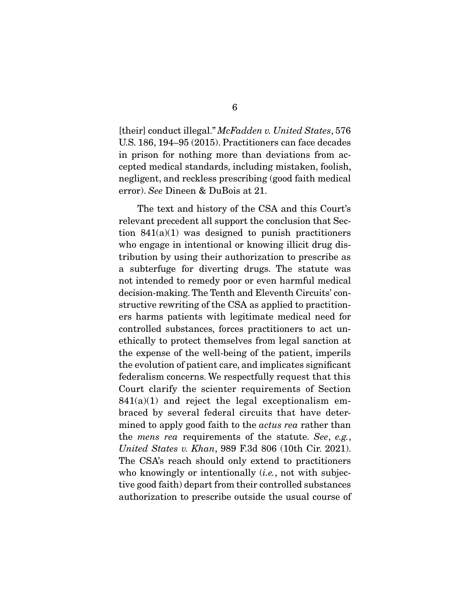[their] conduct illegal." *McFadden v. United States*, 576 U.S. 186, 194–95 (2015). Practitioners can face decades in prison for nothing more than deviations from accepted medical standards, including mistaken, foolish, negligent, and reckless prescribing (good faith medical error). *See* Dineen & DuBois at 21.

 The text and history of the CSA and this Court's relevant precedent all support the conclusion that Section  $841(a)(1)$  was designed to punish practitioners who engage in intentional or knowing illicit drug distribution by using their authorization to prescribe as a subterfuge for diverting drugs. The statute was not intended to remedy poor or even harmful medical decision-making. The Tenth and Eleventh Circuits' constructive rewriting of the CSA as applied to practitioners harms patients with legitimate medical need for controlled substances, forces practitioners to act unethically to protect themselves from legal sanction at the expense of the well-being of the patient, imperils the evolution of patient care, and implicates significant federalism concerns. We respectfully request that this Court clarify the scienter requirements of Section  $841(a)(1)$  and reject the legal exceptionalism embraced by several federal circuits that have determined to apply good faith to the *actus rea* rather than the *mens rea* requirements of the statute. *See*, *e.g.*, *United States v. Khan*, 989 F.3d 806 (10th Cir. 2021). The CSA's reach should only extend to practitioners who knowingly or intentionally (*i.e.*, not with subjective good faith) depart from their controlled substances authorization to prescribe outside the usual course of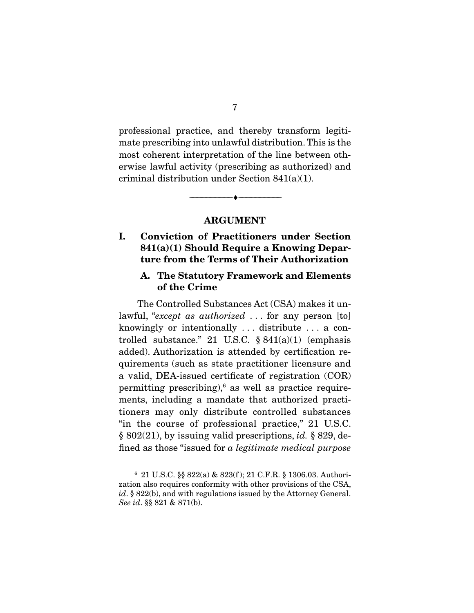professional practice, and thereby transform legitimate prescribing into unlawful distribution. This is the most coherent interpretation of the line between otherwise lawful activity (prescribing as authorized) and criminal distribution under Section 841(a)(1).

### **ARGUMENT**

--------------------------------- ♦ ---------------------------------

### **I. Conviction of Practitioners under Section 841(a)(1) Should Require a Knowing Departure from the Terms of Their Authorization**

### **A. The Statutory Framework and Elements of the Crime**

 The Controlled Substances Act (CSA) makes it unlawful, "*except as authorized* . . . for any person [to] knowingly or intentionally . . . distribute . . . a controlled substance." 21 U.S.C.  $§ 841(a)(1)$  (emphasis added). Authorization is attended by certification requirements (such as state practitioner licensure and a valid, DEA-issued certificate of registration (COR) permitting prescribing),<sup>6</sup> as well as practice requirements, including a mandate that authorized practitioners may only distribute controlled substances "in the course of professional practice," 21 U.S.C. § 802(21), by issuing valid prescriptions, *id.* § 829, defined as those "issued for *a legitimate medical purpose*

<sup>6</sup> 21 U.S.C. §§ 822(a) & 823(f ); 21 C.F.R. § 1306.03. Authorization also requires conformity with other provisions of the CSA, *id*. § 822(b), and with regulations issued by the Attorney General. *See id*. §§ 821 & 871(b).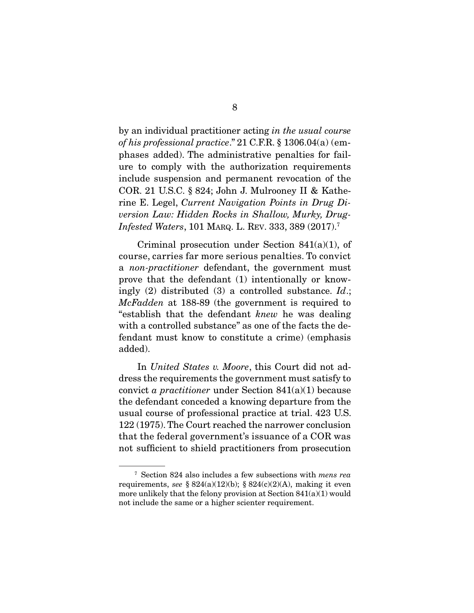by an individual practitioner acting *in the usual course of his professional practice*." 21 C.F.R. § 1306.04(a) (emphases added). The administrative penalties for failure to comply with the authorization requirements include suspension and permanent revocation of the COR. 21 U.S.C. § 824; John J. Mulrooney II & Katherine E. Legel, *Current Navigation Points in Drug Diversion Law: Hidden Rocks in Shallow, Murky, Drug-Infested Waters*, 101 MARQ. L. REV. 333, 389 (2017).7

 Criminal prosecution under Section 841(a)(1), of course, carries far more serious penalties. To convict a *non-practitioner* defendant, the government must prove that the defendant (1) intentionally or knowingly (2) distributed (3) a controlled substance. *Id*.; *McFadden* at 188-89 (the government is required to "establish that the defendant *knew* he was dealing with a controlled substance" as one of the facts the defendant must know to constitute a crime) (emphasis added).

 In *United States v. Moore*, this Court did not address the requirements the government must satisfy to convict *a practitioner* under Section 841(a)(1) because the defendant conceded a knowing departure from the usual course of professional practice at trial. 423 U.S. 122 (1975). The Court reached the narrower conclusion that the federal government's issuance of a COR was not sufficient to shield practitioners from prosecution

<sup>7</sup> Section 824 also includes a few subsections with *mens rea* requirements, *see*  $\S 824(a)(12)(b)$ ;  $\S 824(c)(2)(A)$ , making it even more unlikely that the felony provision at Section 841(a)(1) would not include the same or a higher scienter requirement.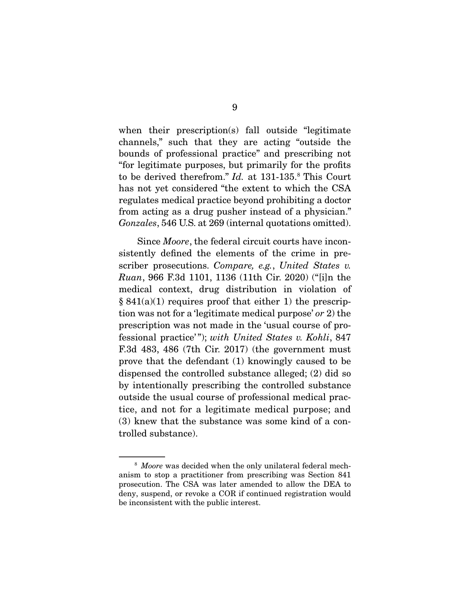when their prescription(s) fall outside "legitimate channels," such that they are acting "outside the bounds of professional practice" and prescribing not "for legitimate purposes, but primarily for the profits to be derived therefrom." *Id.* at 131-135.8 This Court has not yet considered "the extent to which the CSA regulates medical practice beyond prohibiting a doctor from acting as a drug pusher instead of a physician." *Gonzales*, 546 U.S. at 269 (internal quotations omitted).

 Since *Moore*, the federal circuit courts have inconsistently defined the elements of the crime in prescriber prosecutions. *Compare, e.g.*, *United States v. Ruan*, 966 F.3d 1101, 1136 (11th Cir. 2020) ("[i]n the medical context, drug distribution in violation of  $§ 841(a)(1)$  requires proof that either 1) the prescription was not for a 'legitimate medical purpose' *or* 2) the prescription was not made in the 'usual course of professional practice' "); *with United States v. Kohli*, 847 F.3d 483, 486 (7th Cir. 2017) (the government must prove that the defendant (1) knowingly caused to be dispensed the controlled substance alleged; (2) did so by intentionally prescribing the controlled substance outside the usual course of professional medical practice, and not for a legitimate medical purpose; and (3) knew that the substance was some kind of a controlled substance).

<sup>8</sup> *Moore* was decided when the only unilateral federal mechanism to stop a practitioner from prescribing was Section 841 prosecution. The CSA was later amended to allow the DEA to deny, suspend, or revoke a COR if continued registration would be inconsistent with the public interest.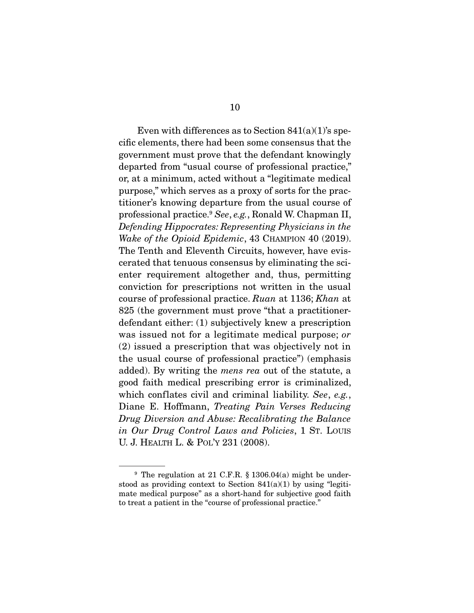Even with differences as to Section  $841(a)(1)$ 's specific elements, there had been some consensus that the government must prove that the defendant knowingly departed from "usual course of professional practice," or, at a minimum, acted without a "legitimate medical purpose," which serves as a proxy of sorts for the practitioner's knowing departure from the usual course of professional practice.9 *See*, *e.g.*, Ronald W. Chapman II, *Defending Hippocrates: Representing Physicians in the Wake of the Opioid Epidemic*, 43 CHAMPION 40 (2019). The Tenth and Eleventh Circuits, however, have eviscerated that tenuous consensus by eliminating the scienter requirement altogether and, thus, permitting conviction for prescriptions not written in the usual course of professional practice. *Ruan* at 1136; *Khan* at 825 (the government must prove "that a practitionerdefendant either: (1) subjectively knew a prescription was issued not for a legitimate medical purpose; *or* (2) issued a prescription that was objectively not in the usual course of professional practice") (emphasis added). By writing the *mens rea* out of the statute, a good faith medical prescribing error is criminalized, which conflates civil and criminal liability. *See*, *e.g.*, Diane E. Hoffmann, *Treating Pain Verses Reducing Drug Diversion and Abuse: Recalibrating the Balance in Our Drug Control Laws and Policies*, 1 ST. LOUIS U. J. HEALTH L. & POL'Y 231 (2008).

<sup>&</sup>lt;sup>9</sup> The regulation at 21 C.F.R.  $\S$  1306.04(a) might be understood as providing context to Section  $841(a)(1)$  by using "legitimate medical purpose" as a short-hand for subjective good faith to treat a patient in the "course of professional practice."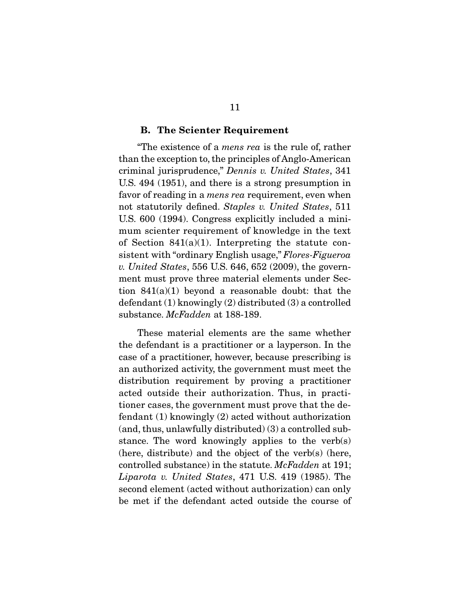#### **B. The Scienter Requirement**

 "The existence of a *mens rea* is the rule of, rather than the exception to, the principles of Anglo-American criminal jurisprudence," *Dennis v. United States*, 341 U.S. 494 (1951), and there is a strong presumption in favor of reading in a *mens rea* requirement, even when not statutorily defined. *Staples v. United States*, 511 U.S. 600 (1994). Congress explicitly included a minimum scienter requirement of knowledge in the text of Section 841(a)(1). Interpreting the statute consistent with "ordinary English usage," *Flores-Figueroa v. United States*, 556 U.S. 646, 652 (2009), the government must prove three material elements under Section 841(a)(1) beyond a reasonable doubt: that the defendant (1) knowingly (2) distributed (3) a controlled substance. *McFadden* at 188-189.

 These material elements are the same whether the defendant is a practitioner or a layperson. In the case of a practitioner, however, because prescribing is an authorized activity, the government must meet the distribution requirement by proving a practitioner acted outside their authorization. Thus, in practitioner cases, the government must prove that the defendant (1) knowingly (2) acted without authorization (and, thus, unlawfully distributed) (3) a controlled substance. The word knowingly applies to the verb(s) (here, distribute) and the object of the verb(s) (here, controlled substance) in the statute. *McFadden* at 191; *Liparota v. United States*, 471 U.S. 419 (1985). The second element (acted without authorization) can only be met if the defendant acted outside the course of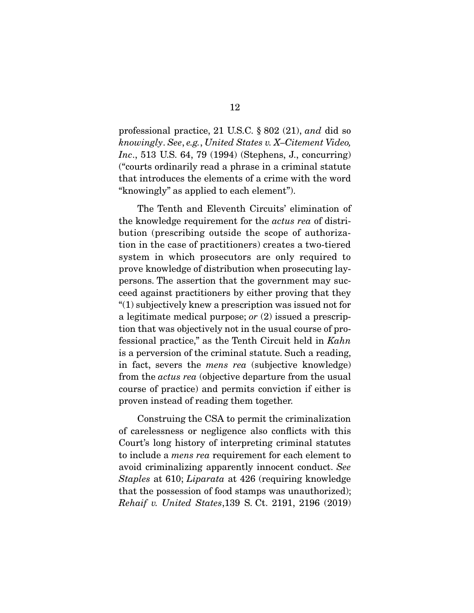professional practice, 21 U.S.C. § 802 (21), *and* did so *knowingly*. *See*, *e.g.*, *United States v. X–Citement Video, Inc*., 513 U.S. 64, 79 (1994) (Stephens, J., concurring) ("courts ordinarily read a phrase in a criminal statute that introduces the elements of a crime with the word "knowingly" as applied to each element").

 The Tenth and Eleventh Circuits' elimination of the knowledge requirement for the *actus rea* of distribution (prescribing outside the scope of authorization in the case of practitioners) creates a two-tiered system in which prosecutors are only required to prove knowledge of distribution when prosecuting laypersons. The assertion that the government may succeed against practitioners by either proving that they "(1) subjectively knew a prescription was issued not for a legitimate medical purpose; *or* (2) issued a prescription that was objectively not in the usual course of professional practice," as the Tenth Circuit held in *Kahn*  is a perversion of the criminal statute. Such a reading, in fact, severs the *mens rea* (subjective knowledge) from the *actus rea* (objective departure from the usual course of practice) and permits conviction if either is proven instead of reading them together.

 Construing the CSA to permit the criminalization of carelessness or negligence also conflicts with this Court's long history of interpreting criminal statutes to include a *mens rea* requirement for each element to avoid criminalizing apparently innocent conduct. *See Staples* at 610; *Liparata* at 426 (requiring knowledge that the possession of food stamps was unauthorized); *Rehaif v. United States*,139 S. Ct. 2191, 2196 (2019)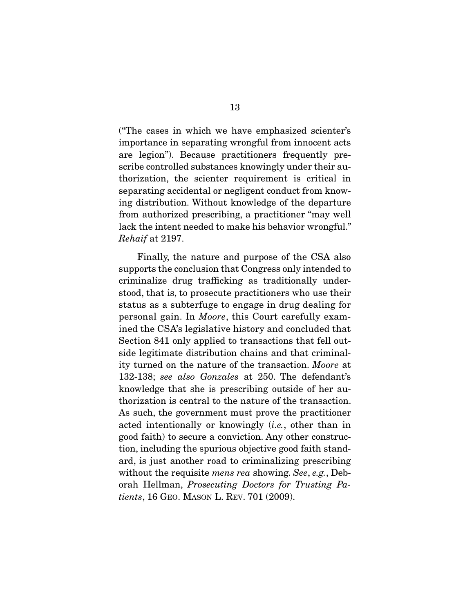("The cases in which we have emphasized scienter's importance in separating wrongful from innocent acts are legion"). Because practitioners frequently prescribe controlled substances knowingly under their authorization, the scienter requirement is critical in separating accidental or negligent conduct from knowing distribution. Without knowledge of the departure from authorized prescribing, a practitioner "may well lack the intent needed to make his behavior wrongful." *Rehaif* at 2197.

 Finally, the nature and purpose of the CSA also supports the conclusion that Congress only intended to criminalize drug trafficking as traditionally understood, that is, to prosecute practitioners who use their status as a subterfuge to engage in drug dealing for personal gain. In *Moore*, this Court carefully examined the CSA's legislative history and concluded that Section 841 only applied to transactions that fell outside legitimate distribution chains and that criminality turned on the nature of the transaction. *Moore* at 132-138; *see also Gonzales* at 250. The defendant's knowledge that she is prescribing outside of her authorization is central to the nature of the transaction. As such, the government must prove the practitioner acted intentionally or knowingly (*i.e.*, other than in good faith) to secure a conviction. Any other construction, including the spurious objective good faith standard, is just another road to criminalizing prescribing without the requisite *mens rea* showing. *See*, *e.g.*, Deborah Hellman, *Prosecuting Doctors for Trusting Patients*, 16 GEO. MASON L. REV. 701 (2009).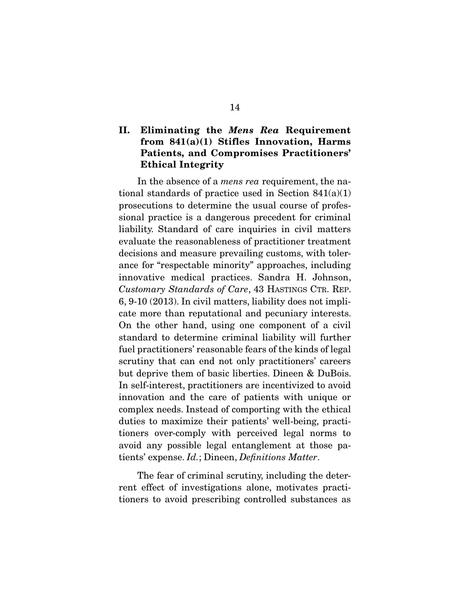### **II. Eliminating the** *Mens Rea* **Requirement from 841(a)(1) Stifles Innovation, Harms Patients, and Compromises Practitioners' Ethical Integrity**

 In the absence of a *mens rea* requirement, the national standards of practice used in Section  $841(a)(1)$ prosecutions to determine the usual course of professional practice is a dangerous precedent for criminal liability. Standard of care inquiries in civil matters evaluate the reasonableness of practitioner treatment decisions and measure prevailing customs, with tolerance for "respectable minority" approaches, including innovative medical practices. Sandra H. Johnson, *Customary Standards of Care*, 43 HASTINGS CTR. REP. 6, 9-10 (2013). In civil matters, liability does not implicate more than reputational and pecuniary interests. On the other hand, using one component of a civil standard to determine criminal liability will further fuel practitioners' reasonable fears of the kinds of legal scrutiny that can end not only practitioners' careers but deprive them of basic liberties. Dineen & DuBois. In self-interest, practitioners are incentivized to avoid innovation and the care of patients with unique or complex needs. Instead of comporting with the ethical duties to maximize their patients' well-being, practitioners over-comply with perceived legal norms to avoid any possible legal entanglement at those patients' expense. *Id.*; Dineen, *Definitions Matter*.

 The fear of criminal scrutiny, including the deterrent effect of investigations alone, motivates practitioners to avoid prescribing controlled substances as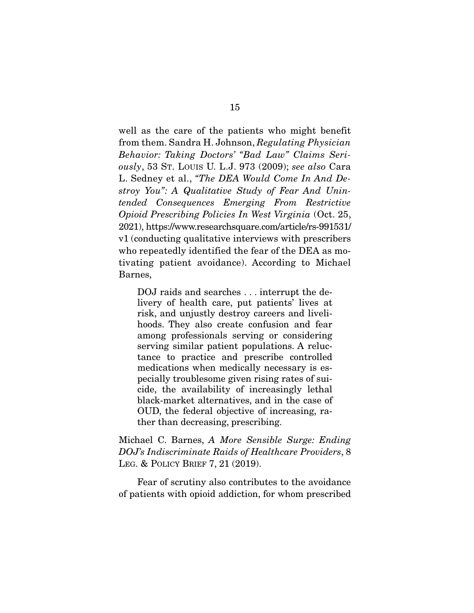well as the care of the patients who might benefit from them. Sandra H. Johnson, *Regulating Physician Behavior: Taking Doctors' "Bad Law" Claims Seriously*, 53 ST. LOUIS U. L.J. 973 (2009); *see also* Cara L. Sedney et al., *"The DEA Would Come In And Destroy You": A Qualitative Study of Fear And Unintended Consequences Emerging From Restrictive Opioid Prescribing Policies In West Virginia* (Oct. 25, 2021), https://www.researchsquare.com/article/rs-991531/ v1 (conducting qualitative interviews with prescribers who repeatedly identified the fear of the DEA as motivating patient avoidance). According to Michael Barnes,

DOJ raids and searches . . . interrupt the delivery of health care, put patients' lives at risk, and unjustly destroy careers and livelihoods. They also create confusion and fear among professionals serving or considering serving similar patient populations. A reluctance to practice and prescribe controlled medications when medically necessary is especially troublesome given rising rates of suicide, the availability of increasingly lethal black-market alternatives, and in the case of OUD, the federal objective of increasing, rather than decreasing, prescribing.

Michael C. Barnes, *A More Sensible Surge: Ending DOJ's Indiscriminate Raids of Healthcare Providers*, 8 LEG. & POLICY BRIEF 7, 21 (2019).

 Fear of scrutiny also contributes to the avoidance of patients with opioid addiction, for whom prescribed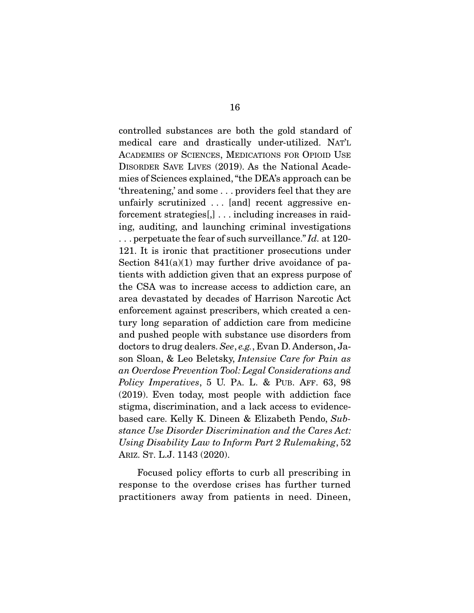controlled substances are both the gold standard of medical care and drastically under-utilized. NAT'L ACADEMIES OF SCIENCES, MEDICATIONS FOR OPIOID USE DISORDER SAVE LIVES (2019). As the National Academies of Sciences explained, "the DEA's approach can be 'threatening,' and some . . . providers feel that they are unfairly scrutinized . . . [and] recent aggressive enforcement strategies[,] . . . including increases in raiding, auditing, and launching criminal investigations . . . perpetuate the fear of such surveillance." *Id.* at 120- 121. It is ironic that practitioner prosecutions under Section  $841(a)(1)$  may further drive avoidance of patients with addiction given that an express purpose of the CSA was to increase access to addiction care, an area devastated by decades of Harrison Narcotic Act enforcement against prescribers, which created a century long separation of addiction care from medicine and pushed people with substance use disorders from doctors to drug dealers. *See*, *e.g.*, Evan D. Anderson, Jason Sloan, & Leo Beletsky, *Intensive Care for Pain as an Overdose Prevention Tool: Legal Considerations and Policy Imperatives*, 5 U. PA. L. & PUB. AFF. 63, 98 (2019). Even today, most people with addiction face stigma, discrimination, and a lack access to evidencebased care. Kelly K. Dineen & Elizabeth Pendo, *Substance Use Disorder Discrimination and the Cares Act: Using Disability Law to Inform Part 2 Rulemaking*, 52 ARIZ. ST. L.J. 1143 (2020).

 Focused policy efforts to curb all prescribing in response to the overdose crises has further turned practitioners away from patients in need. Dineen,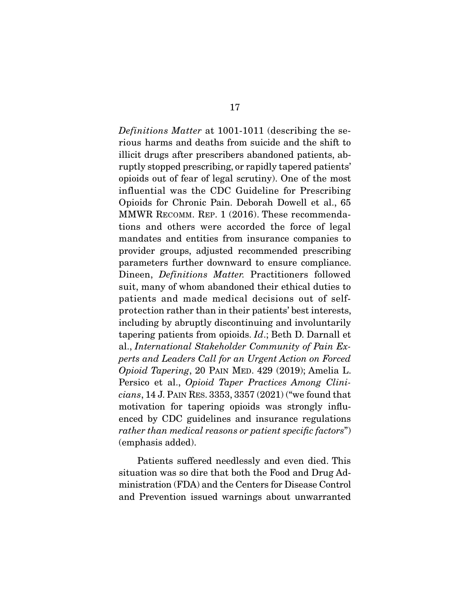*Definitions Matter* at 1001-1011 (describing the serious harms and deaths from suicide and the shift to illicit drugs after prescribers abandoned patients, abruptly stopped prescribing, or rapidly tapered patients' opioids out of fear of legal scrutiny). One of the most influential was the CDC Guideline for Prescribing Opioids for Chronic Pain. Deborah Dowell et al., 65 MMWR RECOMM. REP. 1 (2016). These recommendations and others were accorded the force of legal mandates and entities from insurance companies to provider groups, adjusted recommended prescribing parameters further downward to ensure compliance. Dineen, *Definitions Matter.* Practitioners followed suit, many of whom abandoned their ethical duties to patients and made medical decisions out of selfprotection rather than in their patients' best interests, including by abruptly discontinuing and involuntarily tapering patients from opioids. *Id*.; Beth D. Darnall et al., *International Stakeholder Community of Pain Experts and Leaders Call for an Urgent Action on Forced Opioid Tapering*, 20 PAIN MED. 429 (2019); Amelia L. Persico et al., *Opioid Taper Practices Among Clinicians*, 14 J. PAIN RES. 3353, 3357 (2021) ("we found that motivation for tapering opioids was strongly influenced by CDC guidelines and insurance regulations *rather than medical reasons or patient specific factors*") (emphasis added).

 Patients suffered needlessly and even died. This situation was so dire that both the Food and Drug Administration (FDA) and the Centers for Disease Control and Prevention issued warnings about unwarranted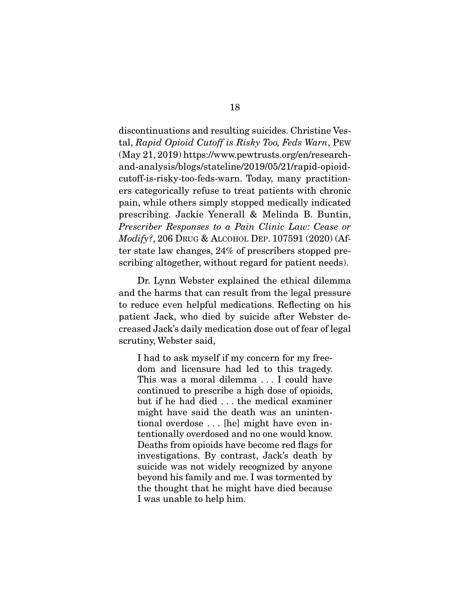discontinuations and resulting suicides. Christine Vestal, *Rapid Opioid Cutoff is Risky Too, Feds Warn*, PEW (May 21, 2019) https://www.pewtrusts.org/en/researchand-analysis/blogs/stateline/2019/05/21/rapid-opioidcutoff-is-risky-too-feds-warn. Today, many practitioners categorically refuse to treat patients with chronic pain, while others simply stopped medically indicated prescribing. Jackie Yenerall & Melinda B. Buntin, *Prescriber Responses to a Pain Clinic Law: Cease or Modify?*, 206 DRUG & ALCOHOL DEP. 107591 (2020) (After state law changes, 24% of prescribers stopped prescribing altogether, without regard for patient needs).

 Dr. Lynn Webster explained the ethical dilemma and the harms that can result from the legal pressure to reduce even helpful medications. Reflecting on his patient Jack, who died by suicide after Webster decreased Jack's daily medication dose out of fear of legal scrutiny, Webster said,

I had to ask myself if my concern for my freedom and licensure had led to this tragedy. This was a moral dilemma . . . I could have continued to prescribe a high dose of opioids, but if he had died . . . the medical examiner might have said the death was an unintentional overdose . . . [he] might have even intentionally overdosed and no one would know. Deaths from opioids have become red flags for investigations. By contrast, Jack's death by suicide was not widely recognized by anyone beyond his family and me. I was tormented by the thought that he might have died because I was unable to help him.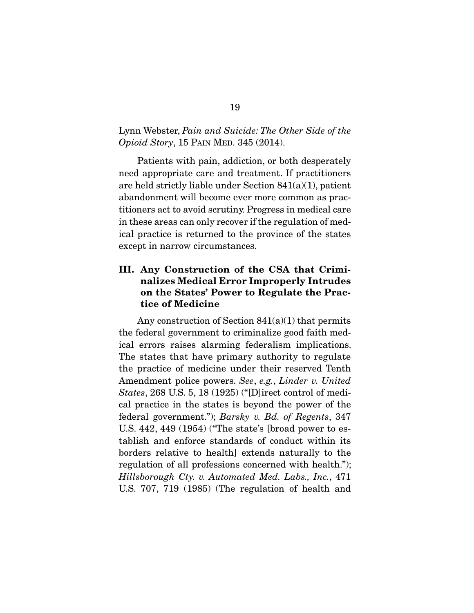### Lynn Webster, *Pain and Suicide: The Other Side of the Opioid Story*, 15 PAIN MED. 345 (2014).

 Patients with pain, addiction, or both desperately need appropriate care and treatment. If practitioners are held strictly liable under Section 841(a)(1), patient abandonment will become ever more common as practitioners act to avoid scrutiny. Progress in medical care in these areas can only recover if the regulation of medical practice is returned to the province of the states except in narrow circumstances.

## **III. Any Construction of the CSA that Criminalizes Medical Error Improperly Intrudes on the States' Power to Regulate the Practice of Medicine**

 Any construction of Section 841(a)(1) that permits the federal government to criminalize good faith medical errors raises alarming federalism implications. The states that have primary authority to regulate the practice of medicine under their reserved Tenth Amendment police powers. *See*, *e.g.*, *Linder v. United States*, 268 U.S. 5, 18 (1925) ("[D]irect control of medical practice in the states is beyond the power of the federal government."); *Barsky v. Bd. of Regents*, 347 U.S. 442, 449 (1954) ("The state's [broad power to establish and enforce standards of conduct within its borders relative to health] extends naturally to the regulation of all professions concerned with health."); *Hillsborough Cty. v. Automated Med. Labs., Inc.*, 471 U.S. 707, 719 (1985) (The regulation of health and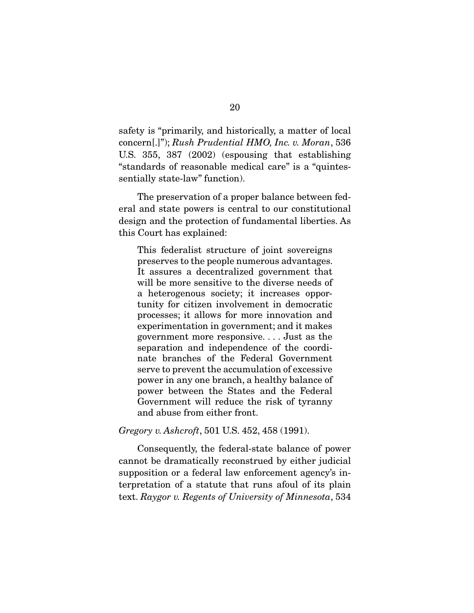safety is "primarily, and historically, a matter of local concern[.]"); *Rush Prudential HMO, Inc. v. Moran*, 536 U.S. 355, 387 (2002) (espousing that establishing "standards of reasonable medical care" is a "quintessentially state-law" function).

 The preservation of a proper balance between federal and state powers is central to our constitutional design and the protection of fundamental liberties. As this Court has explained:

This federalist structure of joint sovereigns preserves to the people numerous advantages. It assures a decentralized government that will be more sensitive to the diverse needs of a heterogenous society; it increases opportunity for citizen involvement in democratic processes; it allows for more innovation and experimentation in government; and it makes government more responsive. . . . Just as the separation and independence of the coordinate branches of the Federal Government serve to prevent the accumulation of excessive power in any one branch, a healthy balance of power between the States and the Federal Government will reduce the risk of tyranny and abuse from either front.

*Gregory v. Ashcroft*, 501 U.S. 452, 458 (1991).

 Consequently, the federal-state balance of power cannot be dramatically reconstrued by either judicial supposition or a federal law enforcement agency's interpretation of a statute that runs afoul of its plain text. *Raygor v. Regents of University of Minnesota*, 534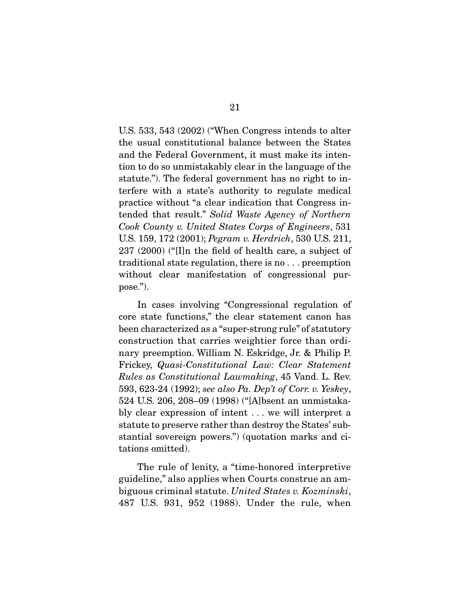U.S. 533, 543 (2002) ("When Congress intends to alter the usual constitutional balance between the States and the Federal Government, it must make its intention to do so unmistakably clear in the language of the statute."). The federal government has no right to interfere with a state's authority to regulate medical practice without "a clear indication that Congress intended that result." *Solid Waste Agency of Northern Cook County v. United States Corps of Engineers*, 531 U.S. 159, 172 (2001); *Pegram v. Herdrich*, 530 U.S. 211, 237 (2000) ("[I]n the field of health care, a subject of traditional state regulation, there is no . . . preemption without clear manifestation of congressional purpose.").

 In cases involving "Congressional regulation of core state functions," the clear statement canon has been characterized as a "super-strong rule" of statutory construction that carries weightier force than ordinary preemption. William N. Eskridge, Jr. & Philip P. Frickey, *Quasi-Constitutional Law: Clear Statement Rules as Constitutional Lawmaking*, 45 Vand. L. Rev. 593, 623-24 (1992); *see also Pa. Dep't of Corr. v. Yeskey*, 524 U.S. 206, 208–09 (1998) ("[A]bsent an unmistakably clear expression of intent . . . we will interpret a statute to preserve rather than destroy the States' substantial sovereign powers.") (quotation marks and citations omitted).

 The rule of lenity, a "time-honored interpretive guideline," also applies when Courts construe an ambiguous criminal statute. *United States v. Kozminski*, 487 U.S. 931, 952 (1988). Under the rule, when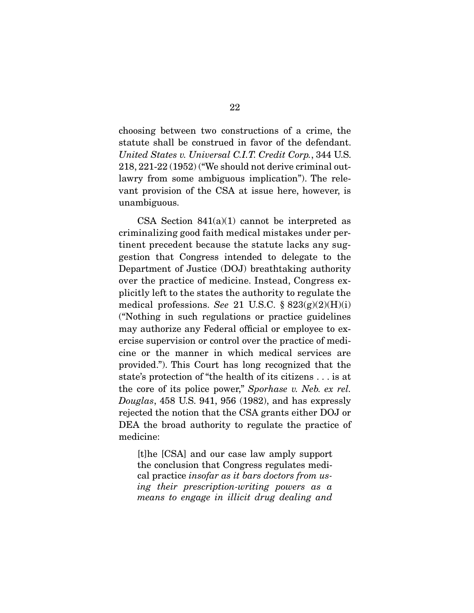choosing between two constructions of a crime, the statute shall be construed in favor of the defendant. *United States v. Universal C.I.T. Credit Corp.*, 344 U.S. 218, 221-22 (1952) ("We should not derive criminal outlawry from some ambiguous implication"). The relevant provision of the CSA at issue here, however, is unambiguous.

CSA Section  $841(a)(1)$  cannot be interpreted as criminalizing good faith medical mistakes under pertinent precedent because the statute lacks any suggestion that Congress intended to delegate to the Department of Justice (DOJ) breathtaking authority over the practice of medicine. Instead, Congress explicitly left to the states the authority to regulate the medical professions. *See* 21 U.S.C. § 823(g)(2)(H)(i) ("Nothing in such regulations or practice guidelines may authorize any Federal official or employee to exercise supervision or control over the practice of medicine or the manner in which medical services are provided."). This Court has long recognized that the state's protection of "the health of its citizens . . . is at the core of its police power," *Sporhase v. Neb. ex rel. Douglas*, 458 U.S. 941, 956 (1982), and has expressly rejected the notion that the CSA grants either DOJ or DEA the broad authority to regulate the practice of medicine:

[t]he [CSA] and our case law amply support the conclusion that Congress regulates medical practice *insofar as it bars doctors from using their prescription-writing powers as a means to engage in illicit drug dealing and*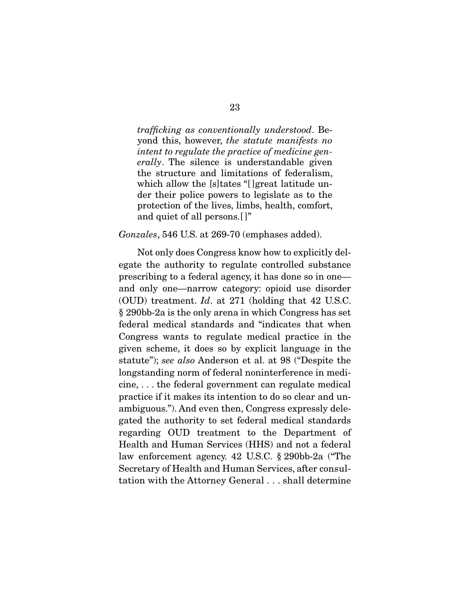*trafficking as conventionally understood*. Beyond this, however, *the statute manifests no intent to regulate the practice of medicine generally*. The silence is understandable given the structure and limitations of federalism, which allow the [s]tates "[]great latitude under their police powers to legislate as to the protection of the lives, limbs, health, comfort, and quiet of all persons.[ ]"

#### *Gonzales*, 546 U.S. at 269-70 (emphases added).

 Not only does Congress know how to explicitly delegate the authority to regulate controlled substance prescribing to a federal agency, it has done so in one and only one—narrow category: opioid use disorder (OUD) treatment. *Id*. at 271 (holding that 42 U.S.C. § 290bb-2a is the only arena in which Congress has set federal medical standards and "indicates that when Congress wants to regulate medical practice in the given scheme, it does so by explicit language in the statute"); *see also* Anderson et al. at 98 ("Despite the longstanding norm of federal noninterference in medicine, . . . the federal government can regulate medical practice if it makes its intention to do so clear and unambiguous."). And even then, Congress expressly delegated the authority to set federal medical standards regarding OUD treatment to the Department of Health and Human Services (HHS) and not a federal law enforcement agency. 42 U.S.C. § 290bb-2a ("The Secretary of Health and Human Services, after consultation with the Attorney General . . . shall determine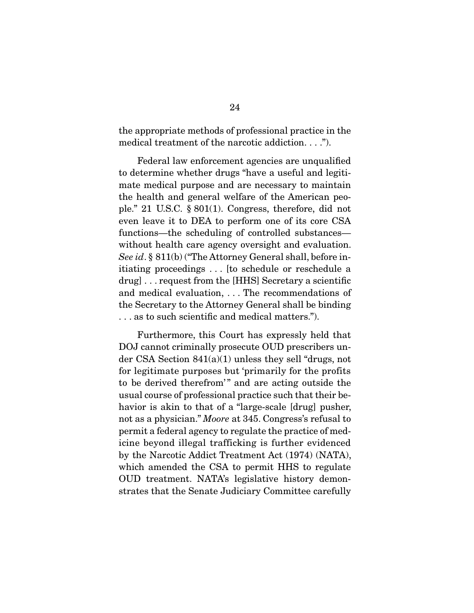the appropriate methods of professional practice in the medical treatment of the narcotic addiction. . . .").

 Federal law enforcement agencies are unqualified to determine whether drugs "have a useful and legitimate medical purpose and are necessary to maintain the health and general welfare of the American people." 21 U.S.C. § 801(1). Congress, therefore, did not even leave it to DEA to perform one of its core CSA functions—the scheduling of controlled substances without health care agency oversight and evaluation. *See id*. § 811(b) ("The Attorney General shall, before initiating proceedings . . . [to schedule or reschedule a drug] . . . request from the [HHS] Secretary a scientific and medical evaluation, . . . The recommendations of the Secretary to the Attorney General shall be binding . . . as to such scientific and medical matters.").

 Furthermore, this Court has expressly held that DOJ cannot criminally prosecute OUD prescribers under CSA Section 841(a)(1) unless they sell "drugs, not for legitimate purposes but 'primarily for the profits to be derived therefrom'" and are acting outside the usual course of professional practice such that their behavior is akin to that of a "large-scale [drug] pusher, not as a physician." *Moore* at 345. Congress's refusal to permit a federal agency to regulate the practice of medicine beyond illegal trafficking is further evidenced by the Narcotic Addict Treatment Act (1974) (NATA), which amended the CSA to permit HHS to regulate OUD treatment. NATA's legislative history demonstrates that the Senate Judiciary Committee carefully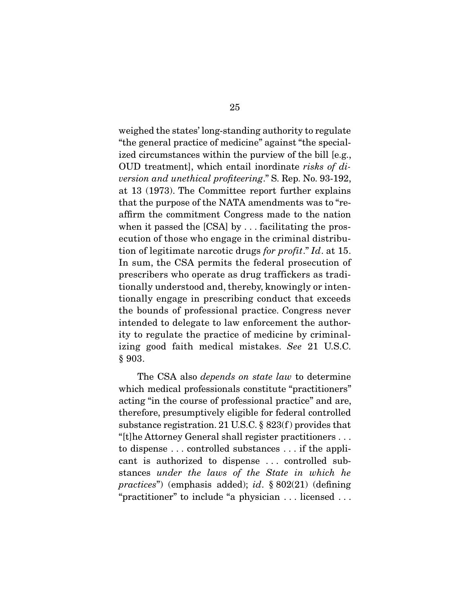weighed the states' long-standing authority to regulate "the general practice of medicine" against "the specialized circumstances within the purview of the bill [e.g., OUD treatment], which entail inordinate *risks of diversion and unethical profiteering*." S. Rep. No. 93-192, at 13 (1973). The Committee report further explains that the purpose of the NATA amendments was to "reaffirm the commitment Congress made to the nation when it passed the [CSA] by . . . facilitating the prosecution of those who engage in the criminal distribution of legitimate narcotic drugs *for profit*." *Id*. at 15. In sum, the CSA permits the federal prosecution of prescribers who operate as drug traffickers as traditionally understood and, thereby, knowingly or intentionally engage in prescribing conduct that exceeds the bounds of professional practice. Congress never intended to delegate to law enforcement the authority to regulate the practice of medicine by criminalizing good faith medical mistakes. *See* 21 U.S.C. § 903.

 The CSA also *depends on state law* to determine which medical professionals constitute "practitioners" acting "in the course of professional practice" and are, therefore, presumptively eligible for federal controlled substance registration. 21 U.S.C. § 823(f ) provides that "[t]he Attorney General shall register practitioners . . . to dispense . . . controlled substances . . . if the applicant is authorized to dispense . . . controlled substances *under the laws of the State in which he practices*") (emphasis added); *id*. § 802(21) (defining "practitioner" to include "a physician . . . licensed . . .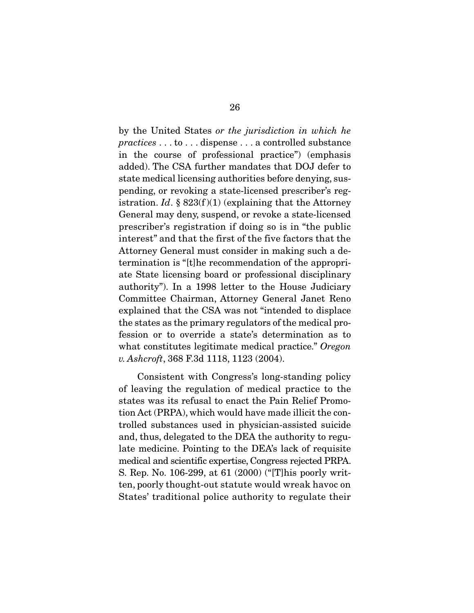by the United States *or the jurisdiction in which he practices* . . . to . . . dispense . . . a controlled substance in the course of professional practice") (emphasis added). The CSA further mandates that DOJ defer to state medical licensing authorities before denying, suspending, or revoking a state-licensed prescriber's registration. *Id.*  $\S 823(f)(1)$  (explaining that the Attorney General may deny, suspend, or revoke a state-licensed prescriber's registration if doing so is in "the public interest" and that the first of the five factors that the Attorney General must consider in making such a determination is "[t]he recommendation of the appropriate State licensing board or professional disciplinary authority"). In a 1998 letter to the House Judiciary Committee Chairman, Attorney General Janet Reno explained that the CSA was not "intended to displace the states as the primary regulators of the medical profession or to override a state's determination as to what constitutes legitimate medical practice." *Oregon v. Ashcroft*, 368 F.3d 1118, 1123 (2004).

 Consistent with Congress's long-standing policy of leaving the regulation of medical practice to the states was its refusal to enact the Pain Relief Promotion Act (PRPA), which would have made illicit the controlled substances used in physician-assisted suicide and, thus, delegated to the DEA the authority to regulate medicine. Pointing to the DEA's lack of requisite medical and scientific expertise, Congress rejected PRPA. S. Rep. No. 106-299, at 61 (2000) ("[T]his poorly written, poorly thought-out statute would wreak havoc on States' traditional police authority to regulate their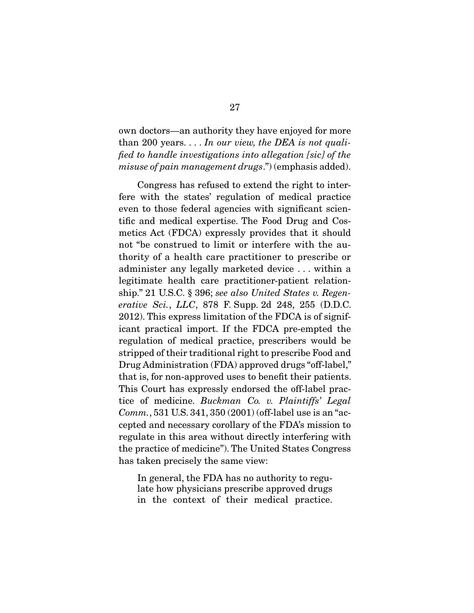own doctors—an authority they have enjoyed for more than 200 years. . . . *In our view, the DEA is not qualified to handle investigations into allegation [sic] of the misuse of pain management drugs*.") (emphasis added).

 Congress has refused to extend the right to interfere with the states' regulation of medical practice even to those federal agencies with significant scientific and medical expertise. The Food Drug and Cosmetics Act (FDCA) expressly provides that it should not "be construed to limit or interfere with the authority of a health care practitioner to prescribe or administer any legally marketed device . . . within a legitimate health care practitioner-patient relationship." 21 U.S.C. § 396; *see also United States v. Regenerative Sci.*, *LLC*, 878 F. Supp. 2d 248, 255 (D.D.C. 2012). This express limitation of the FDCA is of significant practical import. If the FDCA pre-empted the regulation of medical practice, prescribers would be stripped of their traditional right to prescribe Food and Drug Administration (FDA) approved drugs "off-label," that is, for non-approved uses to benefit their patients. This Court has expressly endorsed the off-label practice of medicine. *Buckman Co. v. Plaintiffs' Legal Comm.*, 531 U.S. 341, 350 (2001) (off-label use is an "accepted and necessary corollary of the FDA's mission to regulate in this area without directly interfering with the practice of medicine"). The United States Congress has taken precisely the same view:

In general, the FDA has no authority to regulate how physicians prescribe approved drugs in the context of their medical practice.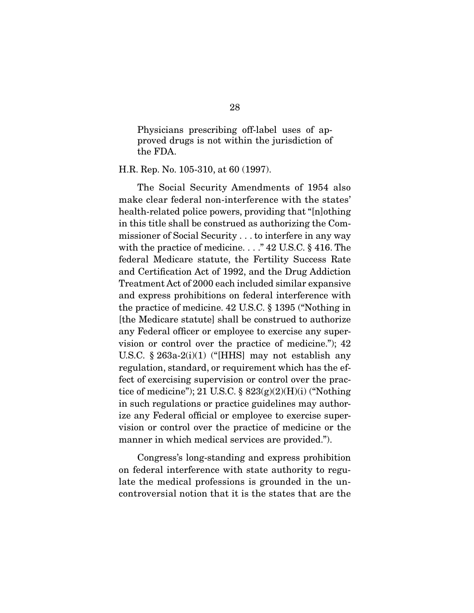Physicians prescribing off-label uses of approved drugs is not within the jurisdiction of the FDA.

H.R. Rep. No. 105-310, at 60 (1997).

 The Social Security Amendments of 1954 also make clear federal non-interference with the states' health-related police powers, providing that "[n]othing in this title shall be construed as authorizing the Commissioner of Social Security . . . to interfere in any way with the practice of medicine. . . . "42 U.S.C. § 416. The federal Medicare statute, the Fertility Success Rate and Certification Act of 1992, and the Drug Addiction Treatment Act of 2000 each included similar expansive and express prohibitions on federal interference with the practice of medicine. 42 U.S.C. § 1395 ("Nothing in [the Medicare statute] shall be construed to authorize any Federal officer or employee to exercise any supervision or control over the practice of medicine."); 42 U.S.C.  $\S 263a-2(i)(1)$  ("[HHS] may not establish any regulation, standard, or requirement which has the effect of exercising supervision or control over the practice of medicine"); 21 U.S.C.  $\S$  823(g)(2)(H)(i) ("Nothing in such regulations or practice guidelines may authorize any Federal official or employee to exercise supervision or control over the practice of medicine or the manner in which medical services are provided.").

 Congress's long-standing and express prohibition on federal interference with state authority to regulate the medical professions is grounded in the uncontroversial notion that it is the states that are the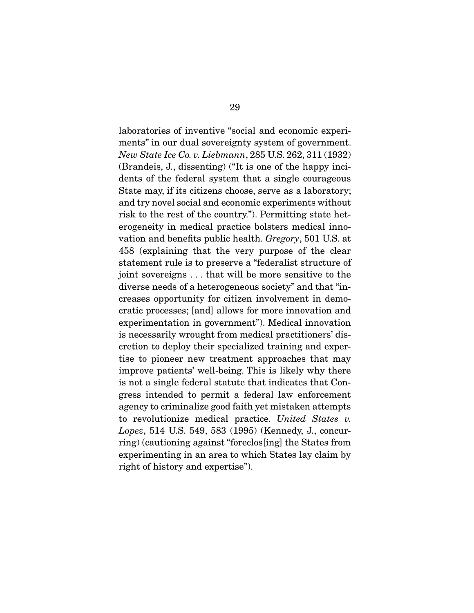laboratories of inventive "social and economic experiments" in our dual sovereignty system of government. *New State Ice Co. v. Liebmann*, 285 U.S. 262, 311 (1932) (Brandeis, J., dissenting) ("It is one of the happy incidents of the federal system that a single courageous State may, if its citizens choose, serve as a laboratory; and try novel social and economic experiments without risk to the rest of the country."). Permitting state heterogeneity in medical practice bolsters medical innovation and benefits public health. *Gregory*, 501 U.S. at 458 (explaining that the very purpose of the clear statement rule is to preserve a "federalist structure of joint sovereigns . . . that will be more sensitive to the diverse needs of a heterogeneous society" and that "increases opportunity for citizen involvement in democratic processes; [and] allows for more innovation and experimentation in government"). Medical innovation is necessarily wrought from medical practitioners' discretion to deploy their specialized training and expertise to pioneer new treatment approaches that may improve patients' well-being. This is likely why there is not a single federal statute that indicates that Congress intended to permit a federal law enforcement agency to criminalize good faith yet mistaken attempts to revolutionize medical practice. *United States v. Lopez*, 514 U.S. 549, 583 (1995) (Kennedy, J., concurring) (cautioning against "foreclos[ing] the States from experimenting in an area to which States lay claim by right of history and expertise").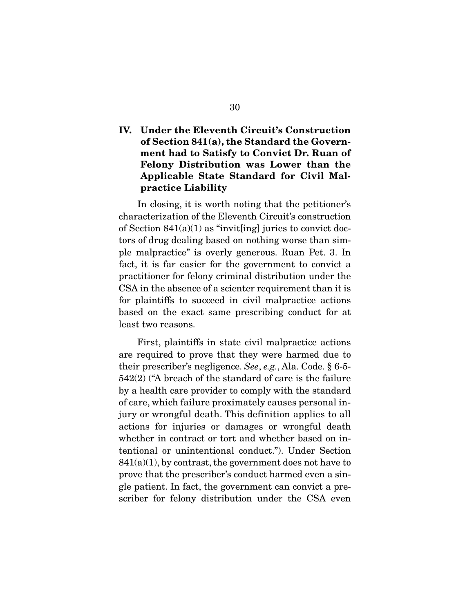## **IV. Under the Eleventh Circuit's Construction of Section 841(a), the Standard the Government had to Satisfy to Convict Dr. Ruan of Felony Distribution was Lower than the Applicable State Standard for Civil Malpractice Liability**

 In closing, it is worth noting that the petitioner's characterization of the Eleventh Circuit's construction of Section  $841(a)(1)$  as "invit[ing] juries to convict doctors of drug dealing based on nothing worse than simple malpractice" is overly generous. Ruan Pet. 3. In fact, it is far easier for the government to convict a practitioner for felony criminal distribution under the CSA in the absence of a scienter requirement than it is for plaintiffs to succeed in civil malpractice actions based on the exact same prescribing conduct for at least two reasons.

 First, plaintiffs in state civil malpractice actions are required to prove that they were harmed due to their prescriber's negligence. *See*, *e.g.*, Ala. Code. § 6-5- 542(2) ("A breach of the standard of care is the failure by a health care provider to comply with the standard of care, which failure proximately causes personal injury or wrongful death. This definition applies to all actions for injuries or damages or wrongful death whether in contract or tort and whether based on intentional or unintentional conduct."). Under Section  $841(a)(1)$ , by contrast, the government does not have to prove that the prescriber's conduct harmed even a single patient. In fact, the government can convict a prescriber for felony distribution under the CSA even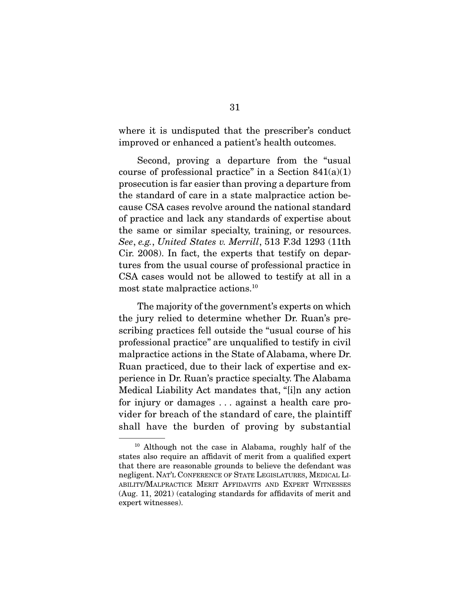where it is undisputed that the prescriber's conduct improved or enhanced a patient's health outcomes.

 Second, proving a departure from the "usual course of professional practice" in a Section  $841(a)(1)$ prosecution is far easier than proving a departure from the standard of care in a state malpractice action because CSA cases revolve around the national standard of practice and lack any standards of expertise about the same or similar specialty, training, or resources. *See*, *e.g.*, *United States v. Merrill*, 513 F.3d 1293 (11th Cir. 2008). In fact, the experts that testify on departures from the usual course of professional practice in CSA cases would not be allowed to testify at all in a most state malpractice actions.10

 The majority of the government's experts on which the jury relied to determine whether Dr. Ruan's prescribing practices fell outside the "usual course of his professional practice" are unqualified to testify in civil malpractice actions in the State of Alabama, where Dr. Ruan practiced, due to their lack of expertise and experience in Dr. Ruan's practice specialty. The Alabama Medical Liability Act mandates that, "[i]n any action for injury or damages . . . against a health care provider for breach of the standard of care, the plaintiff shall have the burden of proving by substantial

<sup>10</sup> Although not the case in Alabama, roughly half of the states also require an affidavit of merit from a qualified expert that there are reasonable grounds to believe the defendant was negligent. NAT'L CONFERENCE OF STATE LEGISLATURES, MEDICAL LI-ABILITY/MALPRACTICE MERIT AFFIDAVITS AND EXPERT WITNESSES (Aug. 11, 2021) (cataloging standards for affidavits of merit and expert witnesses).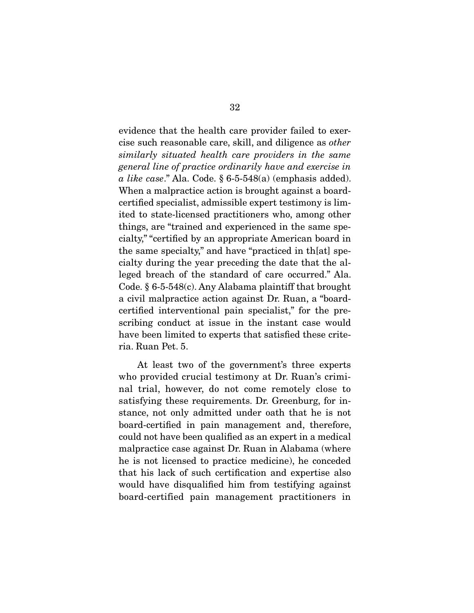evidence that the health care provider failed to exercise such reasonable care, skill, and diligence as *other similarly situated health care providers in the same general line of practice ordinarily have and exercise in a like case*." Ala. Code. § 6-5-548(a) (emphasis added). When a malpractice action is brought against a boardcertified specialist, admissible expert testimony is limited to state-licensed practitioners who, among other things, are "trained and experienced in the same specialty," "certified by an appropriate American board in the same specialty," and have "practiced in th[at] specialty during the year preceding the date that the alleged breach of the standard of care occurred." Ala. Code. § 6-5-548(c). Any Alabama plaintiff that brought a civil malpractice action against Dr. Ruan, a "boardcertified interventional pain specialist," for the prescribing conduct at issue in the instant case would have been limited to experts that satisfied these criteria. Ruan Pet. 5.

 At least two of the government's three experts who provided crucial testimony at Dr. Ruan's criminal trial, however, do not come remotely close to satisfying these requirements. Dr. Greenburg, for instance, not only admitted under oath that he is not board-certified in pain management and, therefore, could not have been qualified as an expert in a medical malpractice case against Dr. Ruan in Alabama (where he is not licensed to practice medicine), he conceded that his lack of such certification and expertise also would have disqualified him from testifying against board-certified pain management practitioners in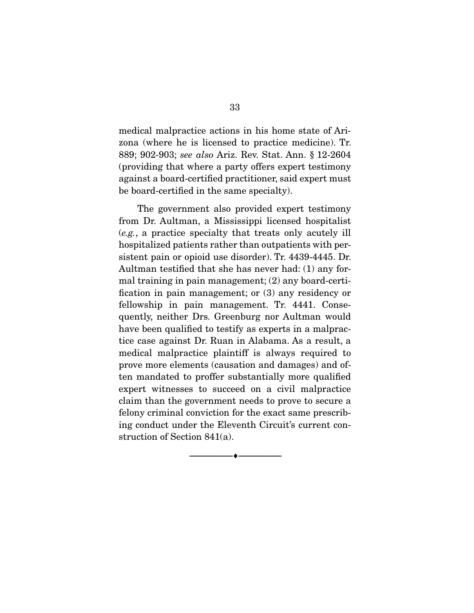medical malpractice actions in his home state of Arizona (where he is licensed to practice medicine). Tr. 889; 902-903; *see also* Ariz. Rev. Stat. Ann. § 12-2604 (providing that where a party offers expert testimony against a board-certified practitioner, said expert must be board-certified in the same specialty).

 The government also provided expert testimony from Dr. Aultman, a Mississippi licensed hospitalist (*e.g.*, a practice specialty that treats only acutely ill hospitalized patients rather than outpatients with persistent pain or opioid use disorder). Tr. 4439-4445. Dr. Aultman testified that she has never had: (1) any formal training in pain management; (2) any board-certification in pain management; or (3) any residency or fellowship in pain management. Tr. 4441. Consequently, neither Drs. Greenburg nor Aultman would have been qualified to testify as experts in a malpractice case against Dr. Ruan in Alabama. As a result, a medical malpractice plaintiff is always required to prove more elements (causation and damages) and often mandated to proffer substantially more qualified expert witnesses to succeed on a civil malpractice claim than the government needs to prove to secure a felony criminal conviction for the exact same prescribing conduct under the Eleventh Circuit's current construction of Section 841(a).

--------------------------------- ♦ ---------------------------------